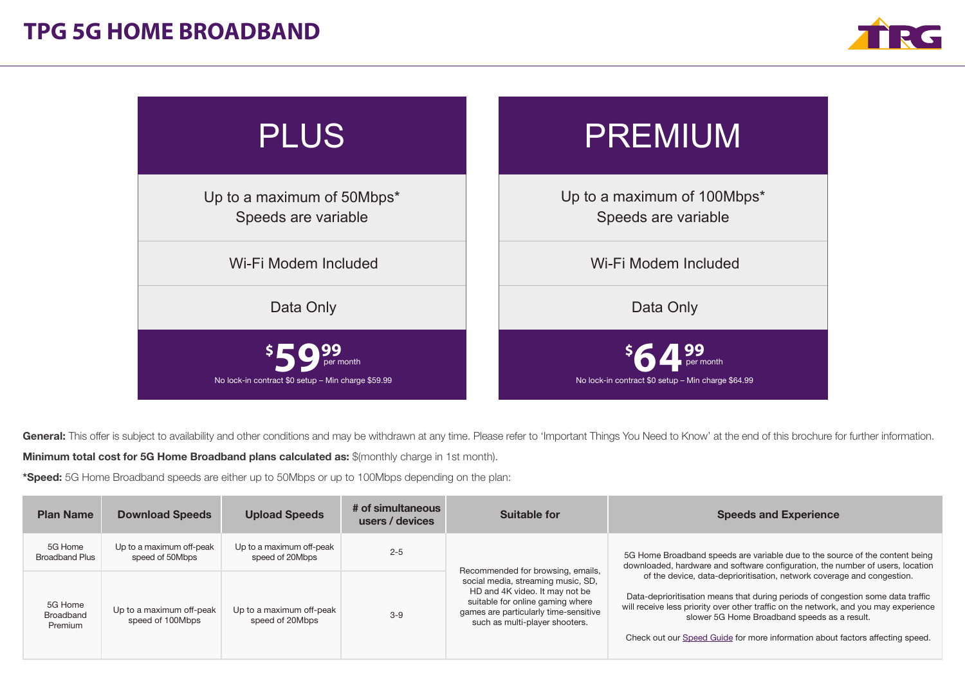



General: This offer is subject to availability and other conditions and may be withdrawn at any time. Please refer to 'Important Things You Need to Know' at the end of this brochure for further information.

Minimum total cost for 5G Home Broadband plans calculated as: \$(monthly charge in 1st month).

\*Speed: 5G Home Broadband speeds are either up to 50Mbps or up to 100Mbps depending on the plan:

| <b>Plan Name</b>                 | <b>Download Speeds</b>                       | <b>Upload Speeds</b>                        | # of simultaneous<br>users / devices | Suitable for                                                                                                                                                                                                             | <b>Speeds and Experience</b>                                                                                                                                                                                                                                                                                                                                                                                                                                                                                                                         |
|----------------------------------|----------------------------------------------|---------------------------------------------|--------------------------------------|--------------------------------------------------------------------------------------------------------------------------------------------------------------------------------------------------------------------------|------------------------------------------------------------------------------------------------------------------------------------------------------------------------------------------------------------------------------------------------------------------------------------------------------------------------------------------------------------------------------------------------------------------------------------------------------------------------------------------------------------------------------------------------------|
| 5G Home<br><b>Broadband Plus</b> | Up to a maximum off-peak<br>speed of 50Mbps  | Up to a maximum off-peak<br>speed of 20Mbps | $2 - 5$                              | Recommended for browsing, emails,<br>social media, streaming music, SD,<br>HD and 4K video. It may not be<br>suitable for online gaming where<br>games are particularly time-sensitive<br>such as multi-player shooters. | 5G Home Broadband speeds are variable due to the source of the content being<br>downloaded, hardware and software configuration, the number of users, location<br>of the device, data-deprioritisation, network coverage and congestion.<br>Data-deprioritisation means that during periods of congestion some data traffic<br>will receive less priority over other traffic on the network, and you may experience<br>slower 5G Home Broadband speeds as a result.<br>Check out our Speed Guide for more information about factors affecting speed. |
| 5G Home<br>Broadband<br>Premium  | Up to a maximum off-peak<br>speed of 100Mbps | Up to a maximum off-peak<br>speed of 20Mbps | $3 - 9$                              |                                                                                                                                                                                                                          |                                                                                                                                                                                                                                                                                                                                                                                                                                                                                                                                                      |